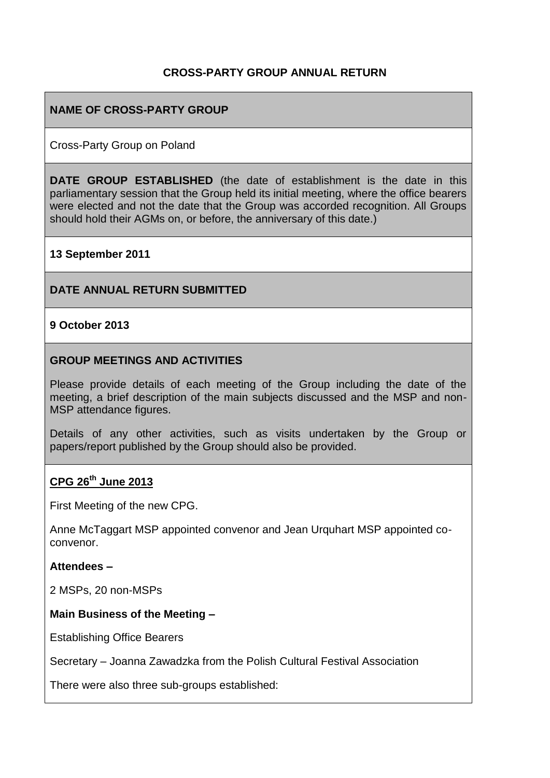### **CROSS-PARTY GROUP ANNUAL RETURN**

#### **NAME OF CROSS-PARTY GROUP**

Cross-Party Group on Poland

**DATE GROUP ESTABLISHED** (the date of establishment is the date in this parliamentary session that the Group held its initial meeting, where the office bearers were elected and not the date that the Group was accorded recognition. All Groups should hold their AGMs on, or before, the anniversary of this date.)

#### **13 September 2011**

#### **DATE ANNUAL RETURN SUBMITTED**

#### **9 October 2013**

#### **GROUP MEETINGS AND ACTIVITIES**

Please provide details of each meeting of the Group including the date of the meeting, a brief description of the main subjects discussed and the MSP and non-MSP attendance figures.

Details of any other activities, such as visits undertaken by the Group or papers/report published by the Group should also be provided.

#### **CPG 26th June 2013**

First Meeting of the new CPG.

Anne McTaggart MSP appointed convenor and Jean Urquhart MSP appointed coconvenor.

#### **Attendees –**

2 MSPs, 20 non-MSPs

#### **Main Business of the Meeting –**

Establishing Office Bearers

Secretary – Joanna Zawadzka from the Polish Cultural Festival Association

There were also three sub-groups established: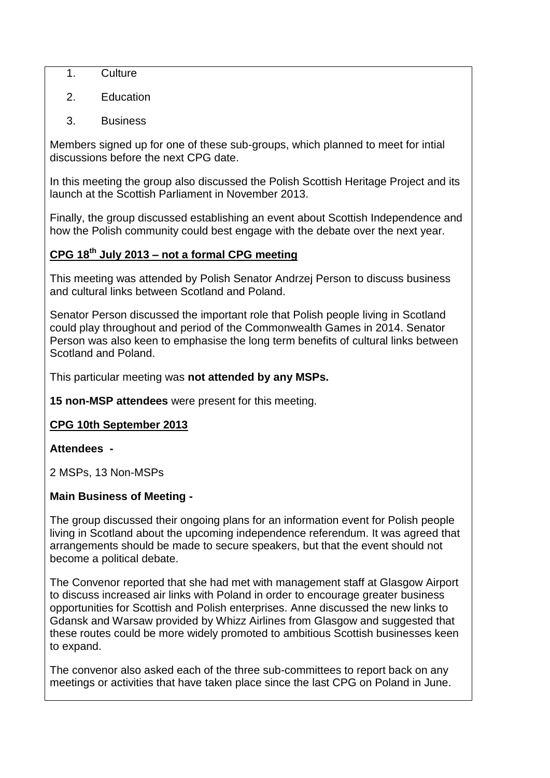- 1. Culture
- 2. Education
- 3. Business

Members signed up for one of these sub-groups, which planned to meet for intial discussions before the next CPG date.

In this meeting the group also discussed the Polish Scottish Heritage Project and its launch at the Scottish Parliament in November 2013.

Finally, the group discussed establishing an event about Scottish Independence and how the Polish community could best engage with the debate over the next year.

# **CPG 18th July 2013 – not a formal CPG meeting**

This meeting was attended by Polish Senator Andrzej Person to discuss business and cultural links between Scotland and Poland.

Senator Person discussed the important role that Polish people living in Scotland could play throughout and period of the Commonwealth Games in 2014. Senator Person was also keen to emphasise the long term benefits of cultural links between Scotland and Poland.

This particular meeting was **not attended by any MSPs.**

**15 non-MSP attendees** were present for this meeting.

# **CPG 10th September 2013**

# **Attendees -**

2 MSPs, 13 Non-MSPs

# **Main Business of Meeting -**

The group discussed their ongoing plans for an information event for Polish people living in Scotland about the upcoming independence referendum. It was agreed that arrangements should be made to secure speakers, but that the event should not become a political debate.

The Convenor reported that she had met with management staff at Glasgow Airport to discuss increased air links with Poland in order to encourage greater business opportunities for Scottish and Polish enterprises. Anne discussed the new links to Gdansk and Warsaw provided by Whizz Airlines from Glasgow and suggested that these routes could be more widely promoted to ambitious Scottish businesses keen to expand.

The convenor also asked each of the three sub-committees to report back on any meetings or activities that have taken place since the last CPG on Poland in June.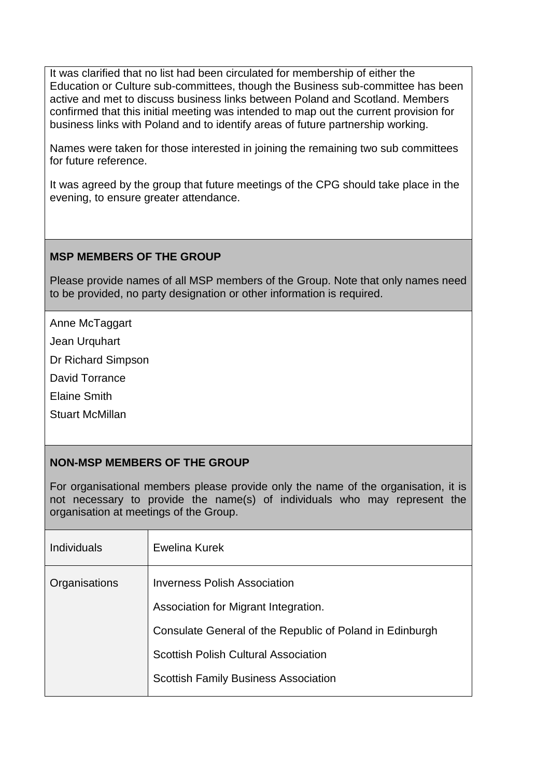It was clarified that no list had been circulated for membership of either the Education or Culture sub-committees, though the Business sub-committee has been active and met to discuss business links between Poland and Scotland. Members confirmed that this initial meeting was intended to map out the current provision for business links with Poland and to identify areas of future partnership working.

Names were taken for those interested in joining the remaining two sub committees for future reference.

It was agreed by the group that future meetings of the CPG should take place in the evening, to ensure greater attendance.

#### **MSP MEMBERS OF THE GROUP**

Please provide names of all MSP members of the Group. Note that only names need to be provided, no party designation or other information is required.

Anne McTaggart

Jean Urquhart

Dr Richard Simpson

David Torrance

Elaine Smith

Stuart McMillan

# **NON-MSP MEMBERS OF THE GROUP**

For organisational members please provide only the name of the organisation, it is not necessary to provide the name(s) of individuals who may represent the organisation at meetings of the Group.

| <b>Individuals</b> | Ewelina Kurek                                            |
|--------------------|----------------------------------------------------------|
| Organisations      | <b>Inverness Polish Association</b>                      |
|                    | Association for Migrant Integration.                     |
|                    | Consulate General of the Republic of Poland in Edinburgh |
|                    | <b>Scottish Polish Cultural Association</b>              |
|                    | <b>Scottish Family Business Association</b>              |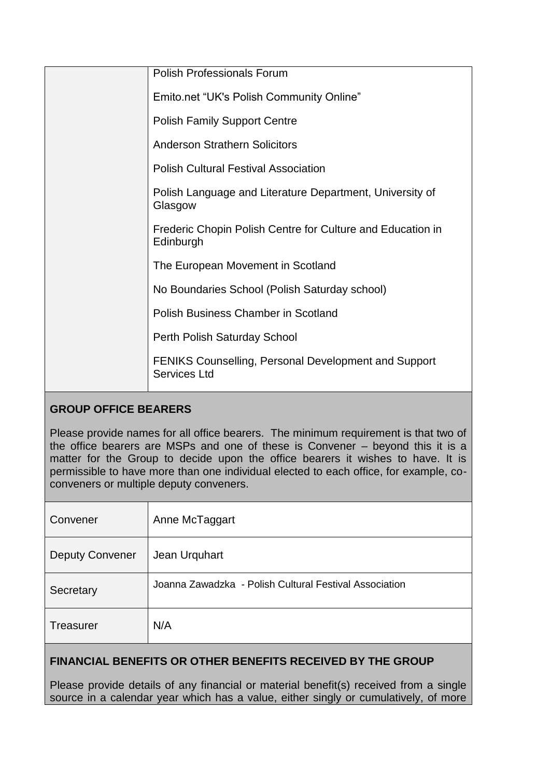| <b>Polish Professionals Forum</b>                                           |
|-----------------------------------------------------------------------------|
| Emito.net "UK's Polish Community Online"                                    |
| <b>Polish Family Support Centre</b>                                         |
| <b>Anderson Strathern Solicitors</b>                                        |
| <b>Polish Cultural Festival Association</b>                                 |
| Polish Language and Literature Department, University of<br>Glasgow         |
| Frederic Chopin Polish Centre for Culture and Education in<br>Edinburgh     |
| The European Movement in Scotland                                           |
| No Boundaries School (Polish Saturday school)                               |
| <b>Polish Business Chamber in Scotland</b>                                  |
| Perth Polish Saturday School                                                |
| <b>FENIKS Counselling, Personal Development and Support</b><br>Services Ltd |

# **GROUP OFFICE BEARERS**

Please provide names for all office bearers. The minimum requirement is that two of the office bearers are MSPs and one of these is Convener – beyond this it is a matter for the Group to decide upon the office bearers it wishes to have. It is permissible to have more than one individual elected to each office, for example, coconveners or multiple deputy conveners.

| Convener               | Anne McTaggart                                         |
|------------------------|--------------------------------------------------------|
| <b>Deputy Convener</b> | Jean Urquhart                                          |
| Secretary              | Joanna Zawadzka - Polish Cultural Festival Association |
| Treasurer              | N/A                                                    |

# **FINANCIAL BENEFITS OR OTHER BENEFITS RECEIVED BY THE GROUP**

Please provide details of any financial or material benefit(s) received from a single source in a calendar year which has a value, either singly or cumulatively, of more